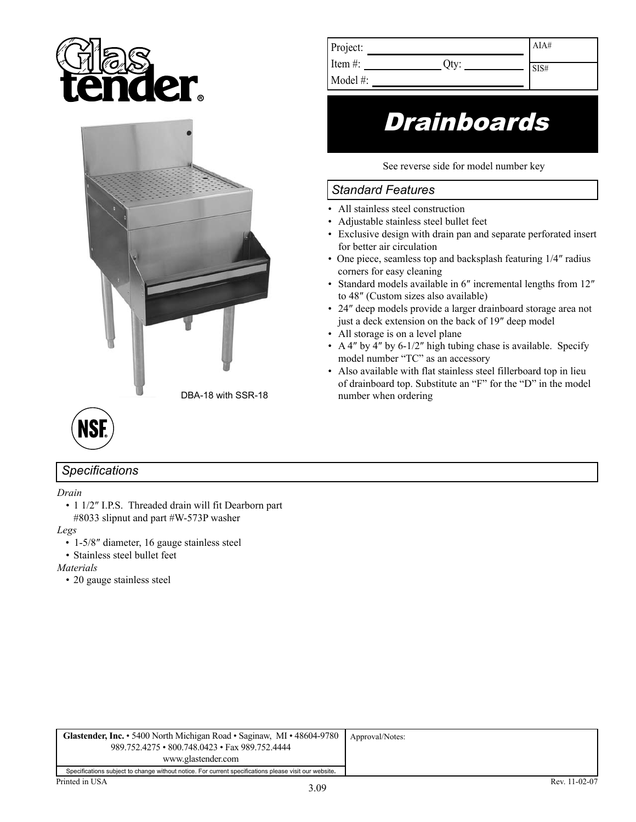





## *Specifications*

*Drain*

• 1 1/2″ I.P.S. Threaded drain will fit Dearborn part #8033 slipnut and part #W-573P washer

*Legs*

- 1-5/8″ diameter, 16 gauge stainless steel
- Stainless steel bullet feet

*Materials*

• 20 gauge stainless steel

| Project:   | AIA#              |
|------------|-------------------|
|            |                   |
| Item $#$ : | $\overline{S1S#}$ |
|            |                   |

Model #:

## **Drainboards**

See reverse side for model number key

## *Standard Features*

- All stainless steel construction
- Adjustable stainless steel bullet feet
- Exclusive design with drain pan and separate perforated insert for better air circulation
- One piece, seamless top and backsplash featuring 1/4" radius corners for easy cleaning
- Standard models available in 6″ incremental lengths from 12″ to 48″ (Custom sizes also available)
- 24″ deep models provide a larger drainboard storage area not just a deck extension on the back of 19″ deep model
- All storage is on a level plane
- A 4" by 4" by 6-1/2" high tubing chase is available. Specify model number "TC" as an accessory
- Also available with flat stainless steel fillerboard top in lieu of drainboard top. Substitute an "F" for the "D" in the model number when ordering

| <b>Glastender, Inc.</b> • 5400 North Michigan Road • Saginaw, MI • 48604-9780<br>989.752.4275 • 800.748.0423 • Fax 989.752.4444<br>www.glastender.com | Approval/Notes: |
|-------------------------------------------------------------------------------------------------------------------------------------------------------|-----------------|
| Specifications subject to change without notice. For current specifications please visit our website.                                                 |                 |
| Printed in USA<br>$\sim$ 00                                                                                                                           | Rev. 11-02-07   |